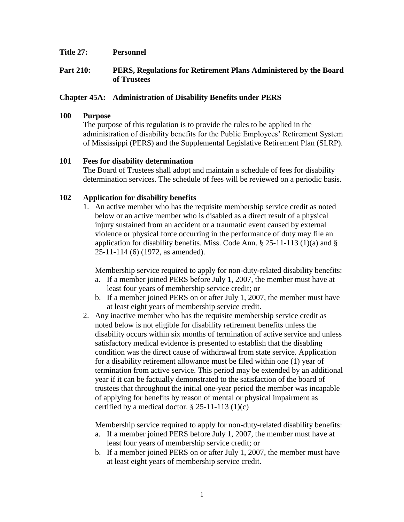#### **Title 27: Personnel**

## **Part 210: PERS, Regulations for Retirement Plans Administered by the Board of Trustees**

## **Chapter 45A: Administration of Disability Benefits under PERS**

#### **100 Purpose**

The purpose of this regulation is to provide the rules to be applied in the administration of disability benefits for the Public Employees' Retirement System of Mississippi (PERS) and the Supplemental Legislative Retirement Plan (SLRP).

## **101 Fees for disability determination**

The Board of Trustees shall adopt and maintain a schedule of fees for disability determination services. The schedule of fees will be reviewed on a periodic basis.

## **102 Application for disability benefits**

1. An active member who has the requisite membership service credit as noted below or an active member who is disabled as a direct result of a physical injury sustained from an accident or a traumatic event caused by external violence or physical force occurring in the performance of duty may file an application for disability benefits. Miss. Code Ann.  $\S$  25-11-113 (1)(a) and  $\S$ 25-11-114 (6) (1972, as amended).

Membership service required to apply for non-duty-related disability benefits:

- a. If a member joined PERS before July 1, 2007, the member must have at least four years of membership service credit; or
- b. If a member joined PERS on or after July 1, 2007, the member must have at least eight years of membership service credit.
- 2. Any inactive member who has the requisite membership service credit as noted below is not eligible for disability retirement benefits unless the disability occurs within six months of termination of active service and unless satisfactory medical evidence is presented to establish that the disabling condition was the direct cause of withdrawal from state service. Application for a disability retirement allowance must be filed within one (1) year of termination from active service. This period may be extended by an additional year if it can be factually demonstrated to the satisfaction of the board of trustees that throughout the initial one-year period the member was incapable of applying for benefits by reason of mental or physical impairment as certified by a medical doctor.  $\S$  25-11-113 (1)(c)

Membership service required to apply for non-duty-related disability benefits:

- a. If a member joined PERS before July 1, 2007, the member must have at least four years of membership service credit; or
- b. If a member joined PERS on or after July 1, 2007, the member must have at least eight years of membership service credit.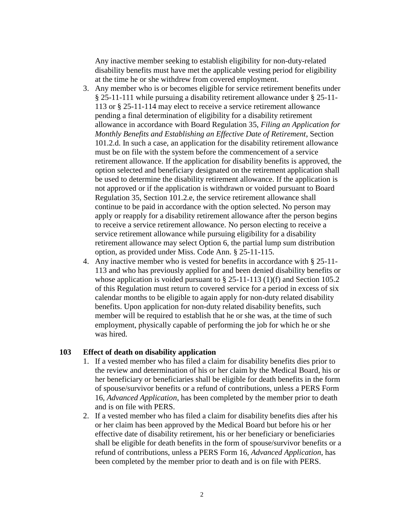Any inactive member seeking to establish eligibility for non-duty-related disability benefits must have met the applicable vesting period for eligibility at the time he or she withdrew from covered employment.

- 3. Any member who is or becomes eligible for service retirement benefits under § 25-11-111 while pursuing a disability retirement allowance under § 25-11- 113 or § 25-11-114 may elect to receive a service retirement allowance pending a final determination of eligibility for a disability retirement allowance in accordance with Board Regulation 35, *Filing an Application for Monthly Benefits and Establishing an Effective Date of Retirement*, Section 101.2.d. In such a case, an application for the disability retirement allowance must be on file with the system before the commencement of a service retirement allowance. If the application for disability benefits is approved, the option selected and beneficiary designated on the retirement application shall be used to determine the disability retirement allowance. If the application is not approved or if the application is withdrawn or voided pursuant to Board Regulation 35, Section 101.2.e, the service retirement allowance shall continue to be paid in accordance with the option selected. No person may apply or reapply for a disability retirement allowance after the person begins to receive a service retirement allowance. No person electing to receive a service retirement allowance while pursuing eligibility for a disability retirement allowance may select Option 6, the partial lump sum distribution option, as provided under Miss. Code Ann. § 25-11-115.
- 4. Any inactive member who is vested for benefits in accordance with § 25-11- 113 and who has previously applied for and been denied disability benefits or whose application is voided pursuant to  $\S$  25-11-113 (1)(f) and Section 105.2 of this Regulation must return to covered service for a period in excess of six calendar months to be eligible to again apply for non-duty related disability benefits. Upon application for non-duty related disability benefits, such member will be required to establish that he or she was, at the time of such employment, physically capable of performing the job for which he or she was hired.

#### **103 Effect of death on disability application**

- 1. If a vested member who has filed a claim for disability benefits dies prior to the review and determination of his or her claim by the Medical Board, his or her beneficiary or beneficiaries shall be eligible for death benefits in the form of spouse/survivor benefits or a refund of contributions, unless a PERS Form 16, *Advanced Application*, has been completed by the member prior to death and is on file with PERS.
- 2. If a vested member who has filed a claim for disability benefits dies after his or her claim has been approved by the Medical Board but before his or her effective date of disability retirement, his or her beneficiary or beneficiaries shall be eligible for death benefits in the form of spouse/survivor benefits or a refund of contributions, unless a PERS Form 16, *Advanced Application*, has been completed by the member prior to death and is on file with PERS.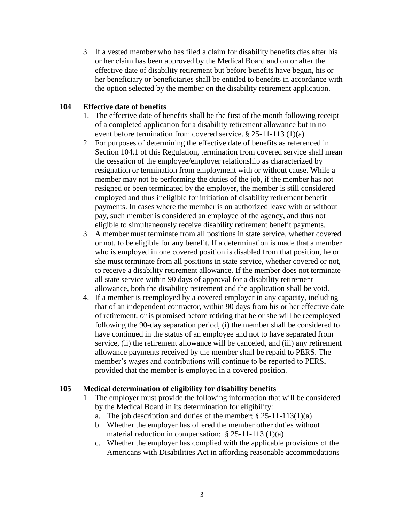3. If a vested member who has filed a claim for disability benefits dies after his or her claim has been approved by the Medical Board and on or after the effective date of disability retirement but before benefits have begun, his or her beneficiary or beneficiaries shall be entitled to benefits in accordance with the option selected by the member on the disability retirement application.

## **104 Effective date of benefits**

- 1. The effective date of benefits shall be the first of the month following receipt of a completed application for a disability retirement allowance but in no event before termination from covered service. § 25-11-113 (1)(a)
- 2. For purposes of determining the effective date of benefits as referenced in Section 104.1 of this Regulation, termination from covered service shall mean the cessation of the employee/employer relationship as characterized by resignation or termination from employment with or without cause. While a member may not be performing the duties of the job, if the member has not resigned or been terminated by the employer, the member is still considered employed and thus ineligible for initiation of disability retirement benefit payments. In cases where the member is on authorized leave with or without pay, such member is considered an employee of the agency, and thus not eligible to simultaneously receive disability retirement benefit payments.
- 3. A member must terminate from all positions in state service, whether covered or not, to be eligible for any benefit. If a determination is made that a member who is employed in one covered position is disabled from that position, he or she must terminate from all positions in state service, whether covered or not, to receive a disability retirement allowance. If the member does not terminate all state service within 90 days of approval for a disability retirement allowance, both the disability retirement and the application shall be void.
- 4. If a member is reemployed by a covered employer in any capacity, including that of an independent contractor, within 90 days from his or her effective date of retirement, or is promised before retiring that he or she will be reemployed following the 90-day separation period, (i) the member shall be considered to have continued in the status of an employee and not to have separated from service, (ii) the retirement allowance will be canceled, and (iii) any retirement allowance payments received by the member shall be repaid to PERS. The member's wages and contributions will continue to be reported to PERS, provided that the member is employed in a covered position.

## **105 Medical determination of eligibility for disability benefits**

- 1. The employer must provide the following information that will be considered by the Medical Board in its determination for eligibility:
	- a. The job description and duties of the member;  $\S 25-11-113(1)(a)$
	- b. Whether the employer has offered the member other duties without material reduction in compensation;  $\S 25-11-113(1)(a)$
	- c. Whether the employer has complied with the applicable provisions of the Americans with Disabilities Act in affording reasonable accommodations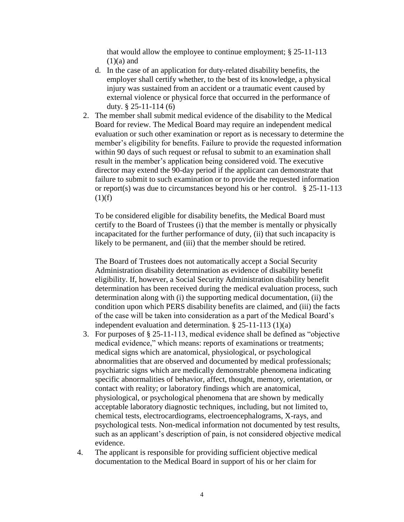that would allow the employee to continue employment;  $\S 25$ -11-113  $(1)(a)$  and

- d. In the case of an application for duty-related disability benefits, the employer shall certify whether, to the best of its knowledge, a physical injury was sustained from an accident or a traumatic event caused by external violence or physical force that occurred in the performance of duty.  $§$  25-11-114 (6)
- 2. The member shall submit medical evidence of the disability to the Medical Board for review. The Medical Board may require an independent medical evaluation or such other examination or report as is necessary to determine the member's eligibility for benefits. Failure to provide the requested information within 90 days of such request or refusal to submit to an examination shall result in the member's application being considered void. The executive director may extend the 90-day period if the applicant can demonstrate that failure to submit to such examination or to provide the requested information or report(s) was due to circumstances beyond his or her control. § 25-11-113  $(1)(f)$

To be considered eligible for disability benefits, the Medical Board must certify to the Board of Trustees (i) that the member is mentally or physically incapacitated for the further performance of duty, (ii) that such incapacity is likely to be permanent, and (iii) that the member should be retired.

The Board of Trustees does not automatically accept a Social Security Administration disability determination as evidence of disability benefit eligibility. If, however, a Social Security Administration disability benefit determination has been received during the medical evaluation process, such determination along with (i) the supporting medical documentation, (ii) the condition upon which PERS disability benefits are claimed, and (iii) the facts of the case will be taken into consideration as a part of the Medical Board's independent evaluation and determination. § 25-11-113 (1)(a)

- 3. For purposes of § 25-11-113, medical evidence shall be defined as "objective medical evidence," which means: reports of examinations or treatments; medical signs which are anatomical, physiological, or psychological abnormalities that are observed and documented by medical professionals; psychiatric signs which are medically demonstrable phenomena indicating specific abnormalities of behavior, affect, thought, memory, orientation, or contact with reality; or laboratory findings which are anatomical, physiological, or psychological phenomena that are shown by medically acceptable laboratory diagnostic techniques, including, but not limited to, chemical tests, electrocardiograms, electroencephalograms, X-rays, and psychological tests. Non-medical information not documented by test results, such as an applicant's description of pain, is not considered objective medical evidence.
- 4. The applicant is responsible for providing sufficient objective medical documentation to the Medical Board in support of his or her claim for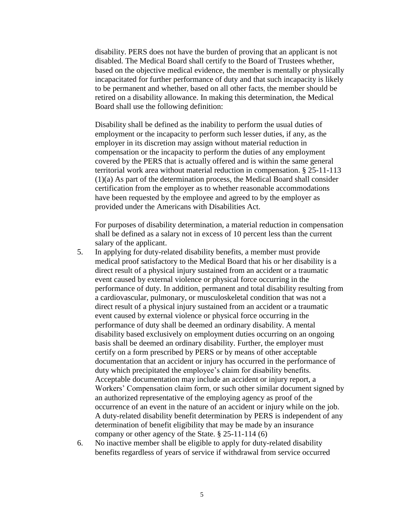disability. PERS does not have the burden of proving that an applicant is not disabled. The Medical Board shall certify to the Board of Trustees whether, based on the objective medical evidence, the member is mentally or physically incapacitated for further performance of duty and that such incapacity is likely to be permanent and whether, based on all other facts, the member should be retired on a disability allowance. In making this determination, the Medical Board shall use the following definition:

Disability shall be defined as the inability to perform the usual duties of employment or the incapacity to perform such lesser duties, if any, as the employer in its discretion may assign without material reduction in compensation or the incapacity to perform the duties of any employment covered by the PERS that is actually offered and is within the same general territorial work area without material reduction in compensation. § 25-11-113 (1)(a) As part of the determination process, the Medical Board shall consider certification from the employer as to whether reasonable accommodations have been requested by the employee and agreed to by the employer as provided under the Americans with Disabilities Act.

For purposes of disability determination, a material reduction in compensation shall be defined as a salary not in excess of 10 percent less than the current salary of the applicant.

- 5. In applying for duty-related disability benefits, a member must provide medical proof satisfactory to the Medical Board that his or her disability is a direct result of a physical injury sustained from an accident or a traumatic event caused by external violence or physical force occurring in the performance of duty. In addition, permanent and total disability resulting from a cardiovascular, pulmonary, or musculoskeletal condition that was not a direct result of a physical injury sustained from an accident or a traumatic event caused by external violence or physical force occurring in the performance of duty shall be deemed an ordinary disability. A mental disability based exclusively on employment duties occurring on an ongoing basis shall be deemed an ordinary disability. Further, the employer must certify on a form prescribed by PERS or by means of other acceptable documentation that an accident or injury has occurred in the performance of duty which precipitated the employee's claim for disability benefits. Acceptable documentation may include an accident or injury report, a Workers' Compensation claim form, or such other similar document signed by an authorized representative of the employing agency as proof of the occurrence of an event in the nature of an accident or injury while on the job. A duty-related disability benefit determination by PERS is independent of any determination of benefit eligibility that may be made by an insurance company or other agency of the State. § 25-11-114 (6)
- 6. No inactive member shall be eligible to apply for duty-related disability benefits regardless of years of service if withdrawal from service occurred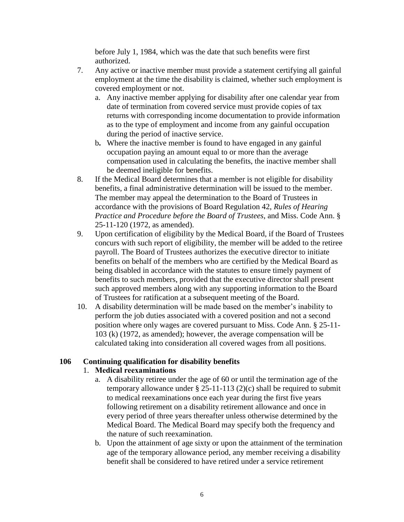before July 1, 1984, which was the date that such benefits were first authorized.

- 7. Any active or inactive member must provide a statement certifying all gainful employment at the time the disability is claimed, whether such employment is covered employment or not.
	- a. Any inactive member applying for disability after one calendar year from date of termination from covered service must provide copies of tax returns with corresponding income documentation to provide information as to the type of employment and income from any gainful occupation during the period of inactive service.
	- b**.** Where the inactive member is found to have engaged in any gainful occupation paying an amount equal to or more than the average compensation used in calculating the benefits, the inactive member shall be deemed ineligible for benefits.
- 8. If the Medical Board determines that a member is not eligible for disability benefits, a final administrative determination will be issued to the member. The member may appeal the determination to the Board of Trustees in accordance with the provisions of Board Regulation 42, *Rules of Hearing Practice and Procedure before the Board of Trustees*, and Miss. Code Ann. § 25-11-120 (1972, as amended).
- 9. Upon certification of eligibility by the Medical Board, if the Board of Trustees concurs with such report of eligibility, the member will be added to the retiree payroll. The Board of Trustees authorizes the executive director to initiate benefits on behalf of the members who are certified by the Medical Board as being disabled in accordance with the statutes to ensure timely payment of benefits to such members, provided that the executive director shall present such approved members along with any supporting information to the Board of Trustees for ratification at a subsequent meeting of the Board.
- 10. A disability determination will be made based on the member's inability to perform the job duties associated with a covered position and not a second position where only wages are covered pursuant to Miss. Code Ann. § 25-11- 103 (k) (1972, as amended); however, the average compensation will be calculated taking into consideration all covered wages from all positions.

## **106 Continuing qualification for disability benefits**

## 1. **Medical reexaminations**

- a. A disability retiree under the age of 60 or until the termination age of the temporary allowance under  $\S 25-11-113 (2)(c)$  shall be required to submit to medical reexaminations once each year during the first five years following retirement on a disability retirement allowance and once in every period of three years thereafter unless otherwise determined by the Medical Board. The Medical Board may specify both the frequency and the nature of such reexamination.
- b. Upon the attainment of age sixty or upon the attainment of the termination age of the temporary allowance period, any member receiving a disability benefit shall be considered to have retired under a service retirement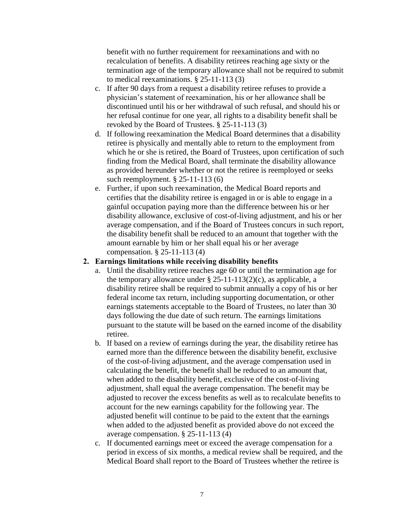benefit with no further requirement for reexaminations and with no recalculation of benefits. A disability retirees reaching age sixty or the termination age of the temporary allowance shall not be required to submit to medical reexaminations. § 25-11-113 (3)

- c. If after 90 days from a request a disability retiree refuses to provide a physician's statement of reexamination, his or her allowance shall be discontinued until his or her withdrawal of such refusal, and should his or her refusal continue for one year, all rights to a disability benefit shall be revoked by the Board of Trustees. § 25-11-113 (3)
- d. If following reexamination the Medical Board determines that a disability retiree is physically and mentally able to return to the employment from which he or she is retired, the Board of Trustees, upon certification of such finding from the Medical Board, shall terminate the disability allowance as provided hereunder whether or not the retiree is reemployed or seeks such reemployment. § 25-11-113 (6)
- e. Further, if upon such reexamination, the Medical Board reports and certifies that the disability retiree is engaged in or is able to engage in a gainful occupation paying more than the difference between his or her disability allowance, exclusive of cost-of-living adjustment, and his or her average compensation, and if the Board of Trustees concurs in such report, the disability benefit shall be reduced to an amount that together with the amount earnable by him or her shall equal his or her average compensation. § 25-11-113 (4)

#### **2. Earnings limitations while receiving disability benefits**

- a. Until the disability retiree reaches age 60 or until the termination age for the temporary allowance under  $\S 25-11-113(2)(c)$ , as applicable, a disability retiree shall be required to submit annually a copy of his or her federal income tax return, including supporting documentation, or other earnings statements acceptable to the Board of Trustees, no later than 30 days following the due date of such return. The earnings limitations pursuant to the statute will be based on the earned income of the disability retiree.
- b. If based on a review of earnings during the year, the disability retiree has earned more than the difference between the disability benefit, exclusive of the cost-of-living adjustment, and the average compensation used in calculating the benefit, the benefit shall be reduced to an amount that, when added to the disability benefit, exclusive of the cost-of-living adjustment, shall equal the average compensation. The benefit may be adjusted to recover the excess benefits as well as to recalculate benefits to account for the new earnings capability for the following year. The adjusted benefit will continue to be paid to the extent that the earnings when added to the adjusted benefit as provided above do not exceed the average compensation. § 25-11-113 (4)
- c. If documented earnings meet or exceed the average compensation for a period in excess of six months, a medical review shall be required, and the Medical Board shall report to the Board of Trustees whether the retiree is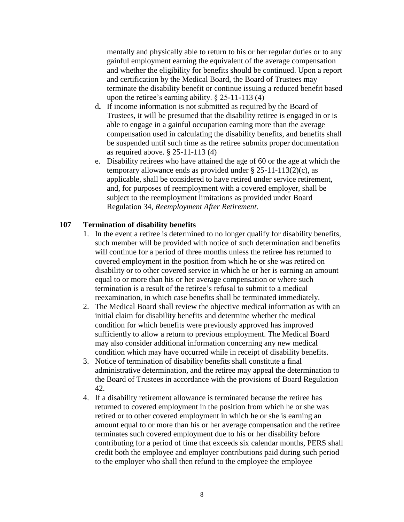mentally and physically able to return to his or her regular duties or to any gainful employment earning the equivalent of the average compensation and whether the eligibility for benefits should be continued. Upon a report and certification by the Medical Board, the Board of Trustees may terminate the disability benefit or continue issuing a reduced benefit based upon the retiree's earning ability. § 25-11-113 (4)

- d**.** If income information is not submitted as required by the Board of Trustees, it will be presumed that the disability retiree is engaged in or is able to engage in a gainful occupation earning more than the average compensation used in calculating the disability benefits, and benefits shall be suspended until such time as the retiree submits proper documentation as required above. § 25-11-113 (4)
- e. Disability retirees who have attained the age of 60 or the age at which the temporary allowance ends as provided under  $\S$  25-11-113(2)(c), as applicable, shall be considered to have retired under service retirement, and, for purposes of reemployment with a covered employer, shall be subject to the reemployment limitations as provided under Board Regulation 34, *Reemployment After Retirement*.

## **107 Termination of disability benefits**

- 1. In the event a retiree is determined to no longer qualify for disability benefits, such member will be provided with notice of such determination and benefits will continue for a period of three months unless the retiree has returned to covered employment in the position from which he or she was retired on disability or to other covered service in which he or her is earning an amount equal to or more than his or her average compensation or where such termination is a result of the retiree's refusal to submit to a medical reexamination, in which case benefits shall be terminated immediately.
- 2. The Medical Board shall review the objective medical information as with an initial claim for disability benefits and determine whether the medical condition for which benefits were previously approved has improved sufficiently to allow a return to previous employment. The Medical Board may also consider additional information concerning any new medical condition which may have occurred while in receipt of disability benefits.
- 3. Notice of termination of disability benefits shall constitute a final administrative determination, and the retiree may appeal the determination to the Board of Trustees in accordance with the provisions of Board Regulation 42.
- 4. If a disability retirement allowance is terminated because the retiree has returned to covered employment in the position from which he or she was retired or to other covered employment in which he or she is earning an amount equal to or more than his or her average compensation and the retiree terminates such covered employment due to his or her disability before contributing for a period of time that exceeds six calendar months, PERS shall credit both the employee and employer contributions paid during such period to the employer who shall then refund to the employee the employee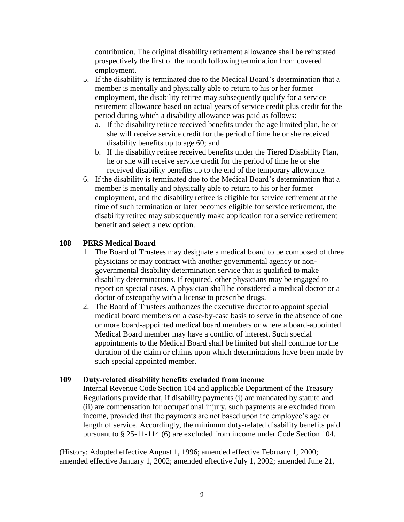contribution. The original disability retirement allowance shall be reinstated prospectively the first of the month following termination from covered employment.

- 5. If the disability is terminated due to the Medical Board's determination that a member is mentally and physically able to return to his or her former employment, the disability retiree may subsequently qualify for a service retirement allowance based on actual years of service credit plus credit for the period during which a disability allowance was paid as follows:
	- a. If the disability retiree received benefits under the age limited plan, he or she will receive service credit for the period of time he or she received disability benefits up to age 60; and
	- b. If the disability retiree received benefits under the Tiered Disability Plan, he or she will receive service credit for the period of time he or she received disability benefits up to the end of the temporary allowance.
- 6. If the disability is terminated due to the Medical Board's determination that a member is mentally and physically able to return to his or her former employment, and the disability retiree is eligible for service retirement at the time of such termination or later becomes eligible for service retirement, the disability retiree may subsequently make application for a service retirement benefit and select a new option.

# **108 PERS Medical Board**

- 1. The Board of Trustees may designate a medical board to be composed of three physicians or may contract with another governmental agency or nongovernmental disability determination service that is qualified to make disability determinations. If required, other physicians may be engaged to report on special cases. A physician shall be considered a medical doctor or a doctor of osteopathy with a license to prescribe drugs.
- 2. The Board of Trustees authorizes the executive director to appoint special medical board members on a case-by-case basis to serve in the absence of one or more board-appointed medical board members or where a board-appointed Medical Board member may have a conflict of interest. Such special appointments to the Medical Board shall be limited but shall continue for the duration of the claim or claims upon which determinations have been made by such special appointed member.

## **109 Duty-related disability benefits excluded from income**

Internal Revenue Code Section 104 and applicable Department of the Treasury Regulations provide that, if disability payments (i) are mandated by statute and (ii) are compensation for occupational injury, such payments are excluded from income, provided that the payments are not based upon the employee's age or length of service. Accordingly, the minimum duty-related disability benefits paid pursuant to § 25-11-114 (6) are excluded from income under Code Section 104.

(History: Adopted effective August 1, 1996; amended effective February 1, 2000; amended effective January 1, 2002; amended effective July 1, 2002; amended June 21,